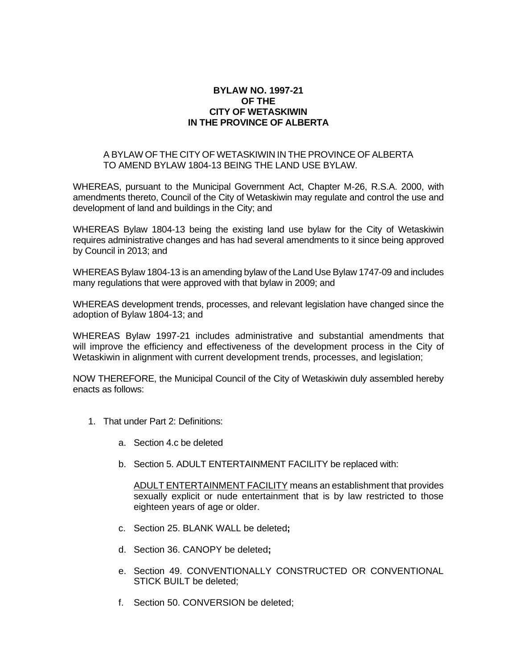## **BYLAW NO. 1997-21 OF THE CITY OF WETASKIWIN IN THE PROVINCE OF ALBERTA**

## A BYLAW OF THE CITY OF WETASKIWIN IN THE PROVINCE OF ALBERTA TO AMEND BYLAW 1804-13 BEING THE LAND USE BYLAW.

WHEREAS, pursuant to the Municipal Government Act, Chapter M-26, R.S.A. 2000, with amendments thereto, Council of the City of Wetaskiwin may regulate and control the use and development of land and buildings in the City; and

WHEREAS Bylaw 1804-13 being the existing land use bylaw for the City of Wetaskiwin requires administrative changes and has had several amendments to it since being approved by Council in 2013; and

WHEREAS Bylaw 1804-13 is an amending bylaw of the Land Use Bylaw 1747-09 and includes many regulations that were approved with that bylaw in 2009; and

WHEREAS development trends, processes, and relevant legislation have changed since the adoption of Bylaw 1804-13; and

WHEREAS Bylaw 1997-21 includes administrative and substantial amendments that will improve the efficiency and effectiveness of the development process in the City of Wetaskiwin in alignment with current development trends, processes, and legislation;

NOW THEREFORE, the Municipal Council of the City of Wetaskiwin duly assembled hereby enacts as follows:

- 1. That under Part 2: Definitions:
	- a. Section 4.c be deleted
	- b. Section 5. ADULT ENTERTAINMENT FACILITY be replaced with:

ADULT ENTERTAINMENT FACILITY means an establishment that provides sexually explicit or nude entertainment that is by law restricted to those eighteen years of age or older.

- c. Section 25. BLANK WALL be deleted**;**
- d. Section 36. CANOPY be deleted**;**
- e. Section 49. CONVENTIONALLY CONSTRUCTED OR CONVENTIONAL STICK BUILT be deleted;
- f. Section 50. CONVERSION be deleted;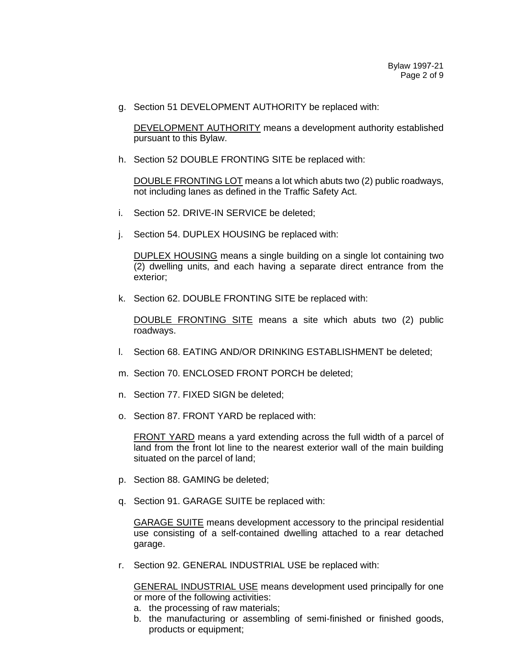g. Section 51 DEVELOPMENT AUTHORITY be replaced with:

DEVELOPMENT AUTHORITY means a development authority established pursuant to this Bylaw.

h. Section 52 DOUBLE FRONTING SITE be replaced with:

DOUBLE FRONTING LOT means a lot which abuts two (2) public roadways, not including lanes as defined in the Traffic Safety Act.

- i. Section 52. DRIVE-IN SERVICE be deleted;
- j. Section 54. DUPLEX HOUSING be replaced with:

DUPLEX HOUSING means a single building on a single lot containing two (2) dwelling units, and each having a separate direct entrance from the exterior;

k. Section 62. DOUBLE FRONTING SITE be replaced with:

DOUBLE FRONTING SITE means a site which abuts two (2) public roadways.

- l. Section 68. EATING AND/OR DRINKING ESTABLISHMENT be deleted;
- m. Section 70. ENCLOSED FRONT PORCH be deleted;
- n. Section 77. FIXED SIGN be deleted;
- o. Section 87. FRONT YARD be replaced with:

FRONT YARD means a yard extending across the full width of a parcel of land from the front lot line to the nearest exterior wall of the main building situated on the parcel of land;

- p. Section 88. GAMING be deleted;
- q. Section 91. GARAGE SUITE be replaced with:

GARAGE SUITE means development accessory to the principal residential use consisting of a self-contained dwelling attached to a rear detached garage.

r. Section 92. GENERAL INDUSTRIAL USE be replaced with:

GENERAL INDUSTRIAL USE means development used principally for one or more of the following activities:

- a. the processing of raw materials;
- b. the manufacturing or assembling of semi-finished or finished goods, products or equipment;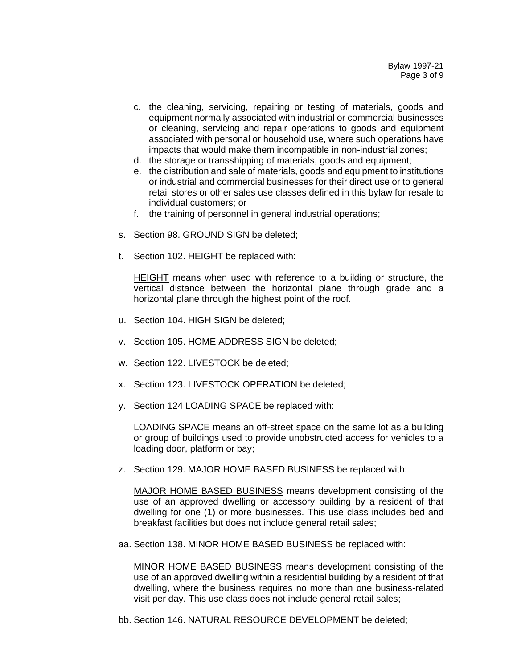- c. the cleaning, servicing, repairing or testing of materials, goods and equipment normally associated with industrial or commercial businesses or cleaning, servicing and repair operations to goods and equipment associated with personal or household use, where such operations have impacts that would make them incompatible in non-industrial zones;
- d. the storage or transshipping of materials, goods and equipment;
- e. the distribution and sale of materials, goods and equipment to institutions or industrial and commercial businesses for their direct use or to general retail stores or other sales use classes defined in this bylaw for resale to individual customers; or
- f. the training of personnel in general industrial operations;
- s. Section 98. GROUND SIGN be deleted;
- t. Section 102. HEIGHT be replaced with:

HEIGHT means when used with reference to a building or structure, the vertical distance between the horizontal plane through grade and a horizontal plane through the highest point of the roof.

- u. Section 104. HIGH SIGN be deleted;
- v. Section 105. HOME ADDRESS SIGN be deleted;
- w. Section 122. LIVESTOCK be deleted;
- x. Section 123. LIVESTOCK OPERATION be deleted;
- y. Section 124 LOADING SPACE be replaced with:

LOADING SPACE means an off-street space on the same lot as a building or group of buildings used to provide unobstructed access for vehicles to a loading door, platform or bay;

z. Section 129. MAJOR HOME BASED BUSINESS be replaced with:

MAJOR HOME BASED BUSINESS means development consisting of the use of an approved dwelling or accessory building by a resident of that dwelling for one (1) or more businesses. This use class includes bed and breakfast facilities but does not include general retail sales;

aa. Section 138. MINOR HOME BASED BUSINESS be replaced with:

MINOR HOME BASED BUSINESS means development consisting of the use of an approved dwelling within a residential building by a resident of that dwelling, where the business requires no more than one business-related visit per day. This use class does not include general retail sales;

bb. Section 146. NATURAL RESOURCE DEVELOPMENT be deleted;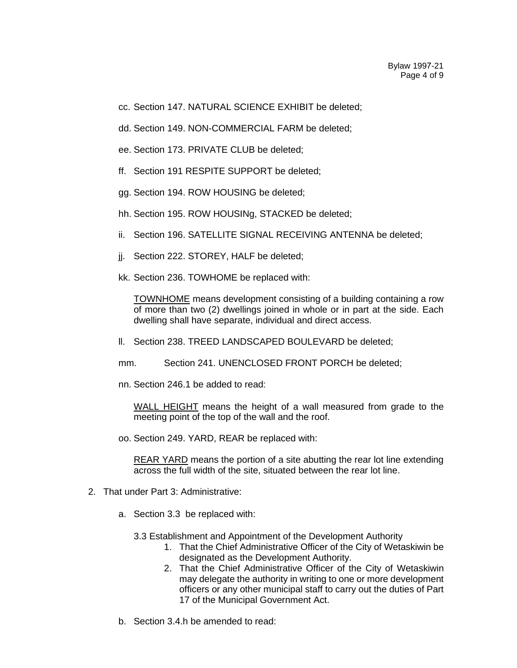- cc. Section 147. NATURAL SCIENCE EXHIBIT be deleted;
- dd. Section 149. NON-COMMERCIAL FARM be deleted;
- ee. Section 173. PRIVATE CLUB be deleted;
- ff. Section 191 RESPITE SUPPORT be deleted;
- gg. Section 194. ROW HOUSING be deleted;
- hh. Section 195. ROW HOUSINg, STACKED be deleted;
- ii. Section 196. SATELLITE SIGNAL RECEIVING ANTENNA be deleted;
- jj. Section 222. STOREY, HALF be deleted;
- kk. Section 236. TOWHOME be replaced with:

TOWNHOME means development consisting of a building containing a row of more than two (2) dwellings joined in whole or in part at the side. Each dwelling shall have separate, individual and direct access.

- ll. Section 238. TREED LANDSCAPED BOULEVARD be deleted;
- mm. Section 241. UNENCLOSED FRONT PORCH be deleted;
- nn. Section 246.1 be added to read:

WALL HEIGHT means the height of a wall measured from grade to the meeting point of the top of the wall and the roof.

oo. Section 249. YARD, REAR be replaced with:

REAR YARD means the portion of a site abutting the rear lot line extending across the full width of the site, situated between the rear lot line.

- 2. That under Part 3: Administrative:
	- a. Section 3.3 be replaced with:
		- 3.3 Establishment and Appointment of the Development Authority
			- 1. That the Chief Administrative Officer of the City of Wetaskiwin be designated as the Development Authority.
			- 2. That the Chief Administrative Officer of the City of Wetaskiwin may delegate the authority in writing to one or more development officers or any other municipal staff to carry out the duties of Part 17 of the Municipal Government Act.
	- b. Section 3.4.h be amended to read: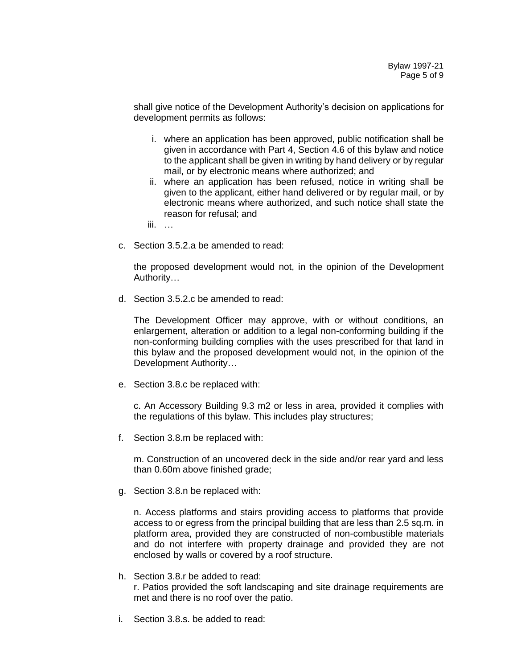shall give notice of the Development Authority's decision on applications for development permits as follows:

- i. where an application has been approved, public notification shall be given in accordance with Part 4, Section 4.6 of this bylaw and notice to the applicant shall be given in writing by hand delivery or by regular mail, or by electronic means where authorized; and
- ii. where an application has been refused, notice in writing shall be given to the applicant, either hand delivered or by regular mail, or by electronic means where authorized, and such notice shall state the reason for refusal; and

iii. …

c. Section 3.5.2.a be amended to read:

the proposed development would not, in the opinion of the Development Authority…

d. Section 3.5.2.c be amended to read:

The Development Officer may approve, with or without conditions, an enlargement, alteration or addition to a legal non-conforming building if the non-conforming building complies with the uses prescribed for that land in this bylaw and the proposed development would not, in the opinion of the Development Authority…

e. Section 3.8.c be replaced with:

c. An Accessory Building 9.3 m2 or less in area, provided it complies with the regulations of this bylaw. This includes play structures;

f. Section 3.8.m be replaced with:

m. Construction of an uncovered deck in the side and/or rear yard and less than 0.60m above finished grade;

g. Section 3.8.n be replaced with:

n. Access platforms and stairs providing access to platforms that provide access to or egress from the principal building that are less than 2.5 sq.m. in platform area, provided they are constructed of non-combustible materials and do not interfere with property drainage and provided they are not enclosed by walls or covered by a roof structure.

- h. Section 3.8.r be added to read: r. Patios provided the soft landscaping and site drainage requirements are met and there is no roof over the patio.
- i. Section 3.8.s. be added to read: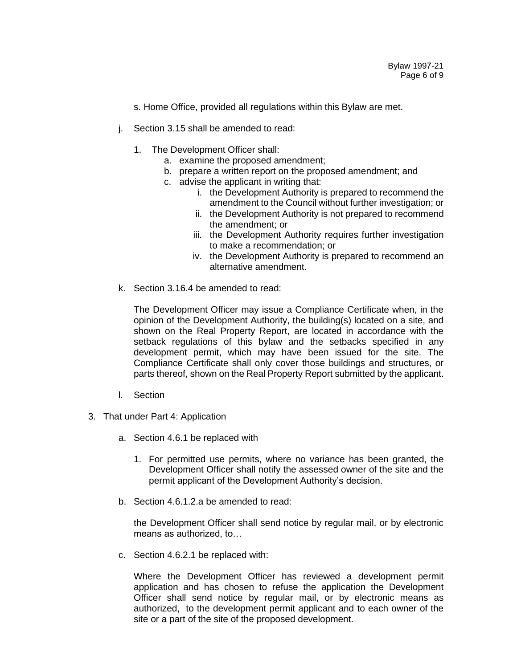- s. Home Office, provided all regulations within this Bylaw are met.
- j. Section 3.15 shall be amended to read:
	- 1. The Development Officer shall:
		- a. examine the proposed amendment;
		- b. prepare a written report on the proposed amendment; and
		- c. advise the applicant in writing that:
			- i. the Development Authority is prepared to recommend the amendment to the Council without further investigation; or
			- ii. the Development Authority is not prepared to recommend the amendment; or
			- iii. the Development Authority requires further investigation to make a recommendation; or
			- iv. the Development Authority is prepared to recommend an alternative amendment.
- k. Section 3.16.4 be amended to read:

The Development Officer may issue a Compliance Certificate when, in the opinion of the Development Authority, the building(s) located on a site, and shown on the Real Property Report, are located in accordance with the setback regulations of this bylaw and the setbacks specified in any development permit, which may have been issued for the site. The Compliance Certificate shall only cover those buildings and structures, or parts thereof, shown on the Real Property Report submitted by the applicant.

- l. Section
- 3. That under Part 4: Application
	- a. Section 4.6.1 be replaced with
		- 1. For permitted use permits, where no variance has been granted, the Development Officer shall notify the assessed owner of the site and the permit applicant of the Development Authority's decision.
	- b. Section 4.6.1.2.a be amended to read:

the Development Officer shall send notice by regular mail, or by electronic means as authorized, to…

c. Section 4.6.2.1 be replaced with:

Where the Development Officer has reviewed a development permit application and has chosen to refuse the application the Development Officer shall send notice by regular mail, or by electronic means as authorized, to the development permit applicant and to each owner of the site or a part of the site of the proposed development.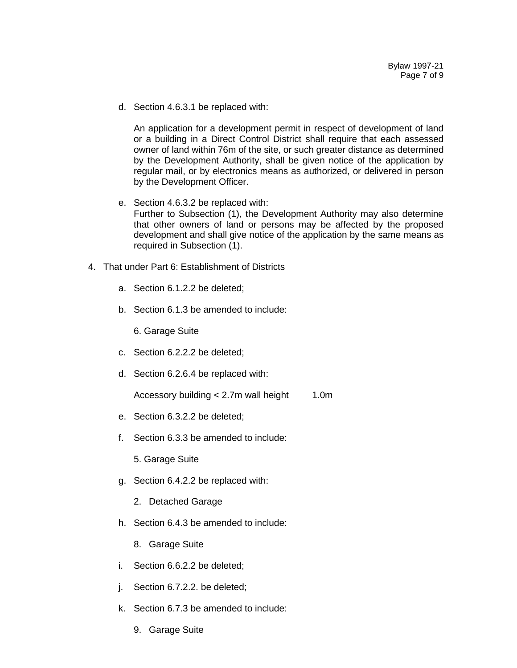d. Section 4.6.3.1 be replaced with:

An application for a development permit in respect of development of land or a building in a Direct Control District shall require that each assessed owner of land within 76m of the site, or such greater distance as determined by the Development Authority, shall be given notice of the application by regular mail, or by electronics means as authorized, or delivered in person by the Development Officer.

- e. Section 4.6.3.2 be replaced with: Further to Subsection (1), the Development Authority may also determine that other owners of land or persons may be affected by the proposed development and shall give notice of the application by the same means as required in Subsection (1).
- 4. That under Part 6: Establishment of Districts
	- a. Section 6.1.2.2 be deleted;
	- b. Section 6.1.3 be amended to include:

6. Garage Suite

- c. Section 6.2.2.2 be deleted;
- d. Section 6.2.6.4 be replaced with:

Accessory building  $< 2.7$ m wall height 1.0m

- e. Section 6.3.2.2 be deleted;
- f. Section 6.3.3 be amended to include:

5. Garage Suite

- g. Section 6.4.2.2 be replaced with:
	- 2. Detached Garage
- h. Section 6.4.3 be amended to include:
	- 8. Garage Suite
- i. Section 6.6.2.2 be deleted;
- j. Section 6.7.2.2. be deleted;
- k. Section 6.7.3 be amended to include:
	- 9. Garage Suite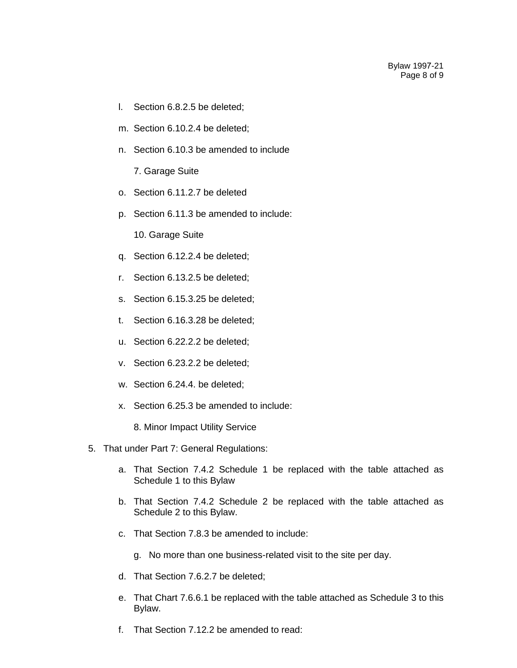- l. Section 6.8.2.5 be deleted;
- m. Section 6.10.2.4 be deleted;
- n. Section 6.10.3 be amended to include
	- 7. Garage Suite
- o. Section 6.11.2.7 be deleted
- p. Section 6.11.3 be amended to include:

10. Garage Suite

- q. Section 6.12.2.4 be deleted;
- r. Section 6.13.2.5 be deleted;
- s. Section 6.15.3.25 be deleted;
- t. Section 6.16.3.28 be deleted;
- u. Section 6.22.2.2 be deleted;
- v. Section 6.23.2.2 be deleted;
- w. Section 6.24.4. be deleted;
- x. Section 6.25.3 be amended to include:
	- 8. Minor Impact Utility Service
- 5. That under Part 7: General Regulations:
	- a. That Section 7.4.2 Schedule 1 be replaced with the table attached as Schedule 1 to this Bylaw
	- b. That Section 7.4.2 Schedule 2 be replaced with the table attached as Schedule 2 to this Bylaw.
	- c. That Section 7.8.3 be amended to include:
		- g. No more than one business-related visit to the site per day.
	- d. That Section 7.6.2.7 be deleted;
	- e. That Chart 7.6.6.1 be replaced with the table attached as Schedule 3 to this Bylaw.
	- f. That Section 7.12.2 be amended to read: